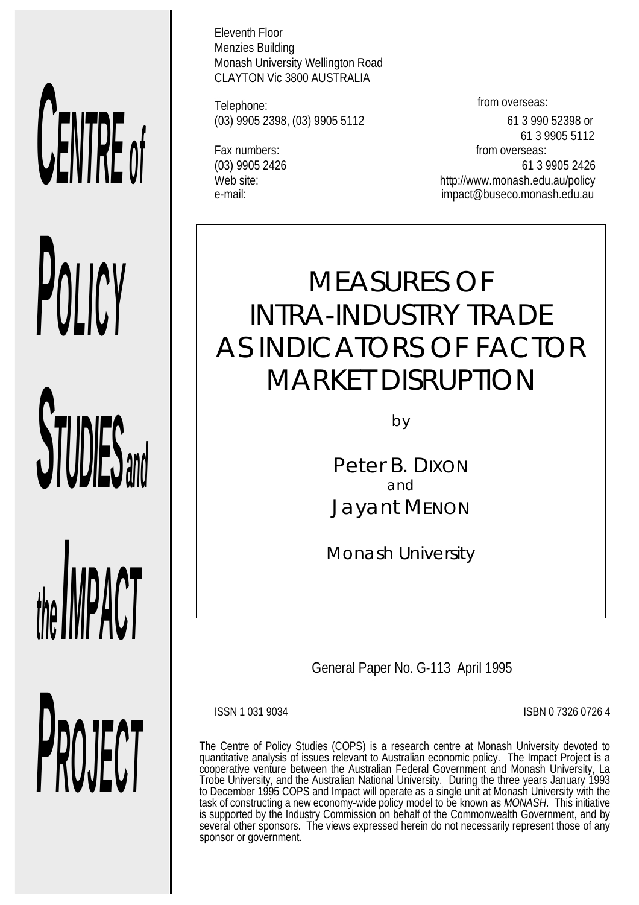# *CENTRE of*

*POLICY*

*STUDIES and*

*the livil time* i

*PROJECT*

Eleventh Floor Menzies Building Monash University Wellington Road CLAYTON Vic 3800 AUSTRALIA

Telephone: Telephone: Telephone: (03) 9905 2398, (03) 9905 5112 61 3 990 52398 or

 61 3 9905 5112 Fax numbers: from overseas: (03) 9905 2426 61 3 9905 2426 Web site:  $W$  web site:  $W$  http://www.monash.edu.au/policy e-mail: impact@buseco.monash.edu.au

# MEASURES OF INTRA-INDUSTRY TRADE AS INDICATORS OF FACTOR MARKET DISRUPTION

by

Peter B. DIXON and Jayant MENON

*Monash University*

General Paper No. G-113 April 1995

ISSN 1 031 9034 ISBN 0 7326 0726 4

The Centre of Policy Studies (COPS) is a research centre at Monash University devoted to quantitative analysis of issues relevant to Australian economic policy. The Impact Project is a cooperative venture between the Australian Federal Government and Monash University, La Trobe University, and the Australian National University. During the three years January 1993 to December 1995 COPS and Impact will operate as a single unit at Monash University with the task of constructing a new economy-wide policy model to be known as *MONASH*. This initiative is supported by the Industry Commission on behalf of the Commonwealth Government, and by several other sponsors. The views expressed herein do not necessarily represent those of any sponsor or government.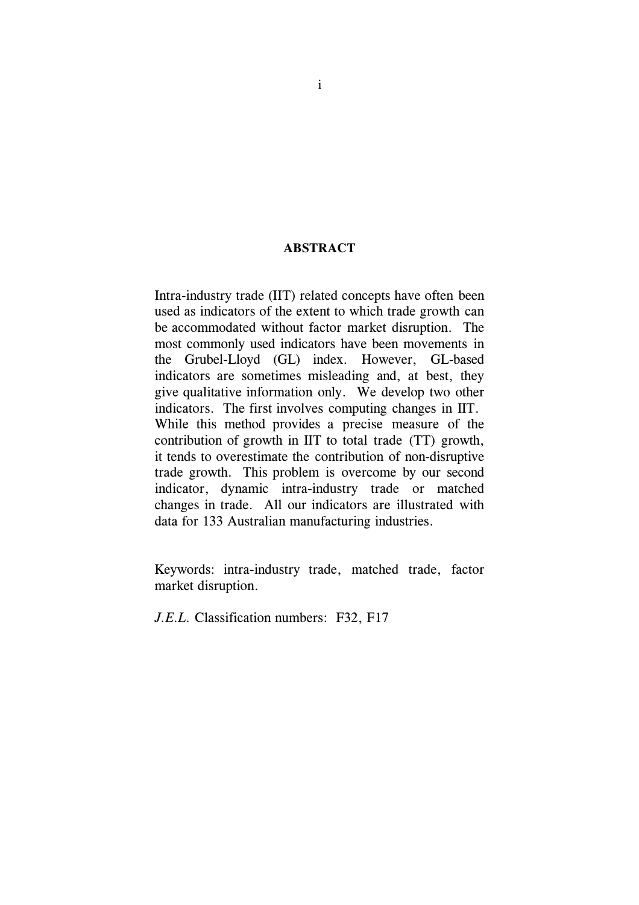### **ABSTRACT**

Intra-industry trade (IIT) related concepts have often been used as indicators of the extent to which trade growth can be accommodated without factor market disruption. The most commonly used indicators have been movements in the Grubel-Lloyd (GL) index. However, GL-based indicators are sometimes misleading and, at best, they give qualitative information only. We develop two other indicators. The first involves computing changes in IIT. While this method provides a precise measure of the contribution of growth in IIT to total trade (TT) growth, it tends to overestimate the contribution of non-disruptive trade growth. This problem is overcome by our second indicator, dynamic intra-industry trade or matched changes in trade. All our indicators are illustrated with data for 133 Australian manufacturing industries.

Keywords: intra-industry trade, matched trade, factor market disruption.

*J.E.L.* Classification numbers: F32, F17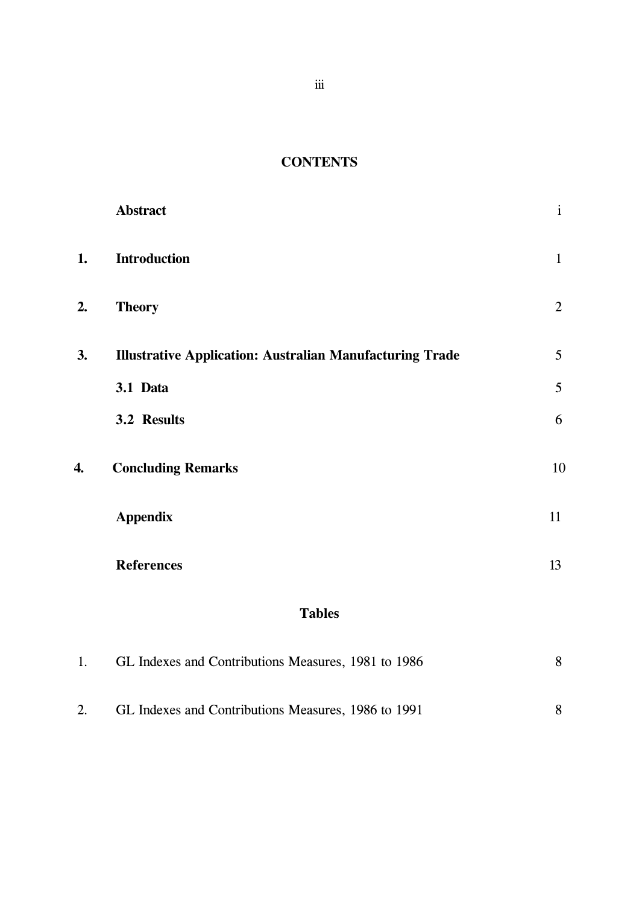# **CONTENTS**

|    | <b>Abstract</b>                                                 | $\mathbf{i}$    |
|----|-----------------------------------------------------------------|-----------------|
| 1. | <b>Introduction</b>                                             | $\mathbf{1}$    |
| 2. | <b>Theory</b>                                                   | $\overline{2}$  |
| 3. | <b>Illustrative Application: Australian Manufacturing Trade</b> | $5\phantom{.0}$ |
|    | 3.1 Data                                                        | 5               |
|    | 3.2 Results                                                     | 6               |
| 4. | <b>Concluding Remarks</b>                                       | 10              |
|    | <b>Appendix</b>                                                 | 11              |
|    | <b>References</b>                                               | 13              |

# **Tables**

| 1. | GL Indexes and Contributions Measures, 1981 to 1986 |  |
|----|-----------------------------------------------------|--|
| 2. | GL Indexes and Contributions Measures, 1986 to 1991 |  |

iii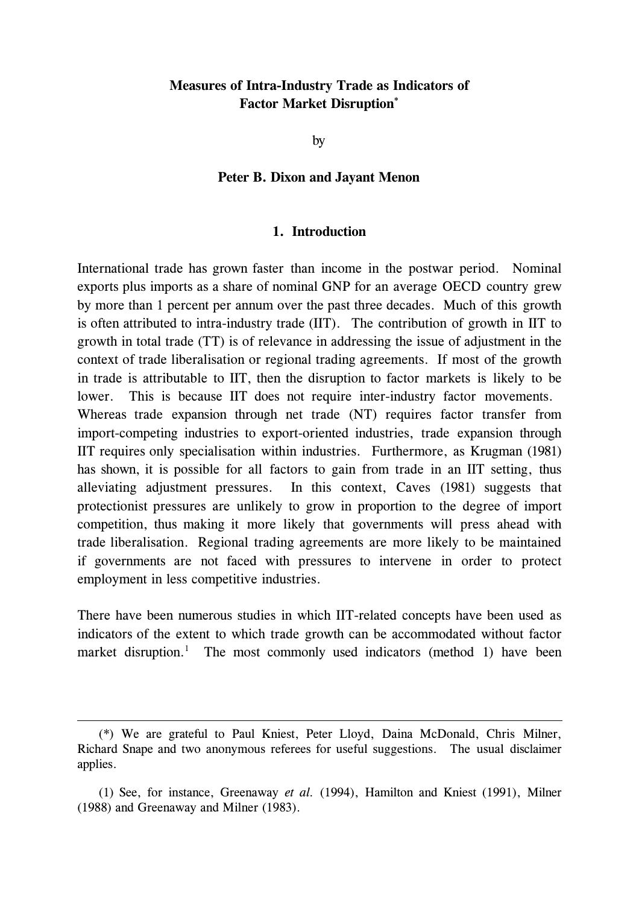### **Measures of Intra-Industry Trade as Indicators of Factor Market Disruption\***

by

### **Peter B. Dixon and Jayant Menon**

### **1. Introduction**

International trade has grown faster than income in the postwar period. Nominal exports plus imports as a share of nominal GNP for an average OECD country grew by more than 1 percent per annum over the past three decades. Much of this growth is often attributed to intra-industry trade (IIT). The contribution of growth in IIT to growth in total trade (TT) is of relevance in addressing the issue of adjustment in the context of trade liberalisation or regional trading agreements. If most of the growth in trade is attributable to IIT, then the disruption to factor markets is likely to be lower. This is because IIT does not require inter-industry factor movements. Whereas trade expansion through net trade (NT) requires factor transfer from import-competing industries to export-oriented industries, trade expansion through IIT requires only specialisation within industries. Furthermore, as Krugman (1981) has shown, it is possible for all factors to gain from trade in an IIT setting, thus alleviating adjustment pressures. In this context, Caves (1981) suggests that protectionist pressures are unlikely to grow in proportion to the degree of import competition, thus making it more likely that governments will press ahead with trade liberalisation. Regional trading agreements are more likely to be maintained if governments are not faced with pressures to intervene in order to protect employment in less competitive industries.

There have been numerous studies in which IIT-related concepts have been used as indicators of the extent to which trade growth can be accommodated without factor market disruption.<sup>1</sup> The most commonly used indicators (method 1) have been

 <sup>(\*)</sup> We are grateful to Paul Kniest, Peter Lloyd, Daina McDonald, Chris Milner, Richard Snape and two anonymous referees for useful suggestions. The usual disclaimer applies.

 <sup>(1)</sup> See, for instance, Greenaway *et al.* (1994), Hamilton and Kniest (1991), Milner (1988) and Greenaway and Milner (1983).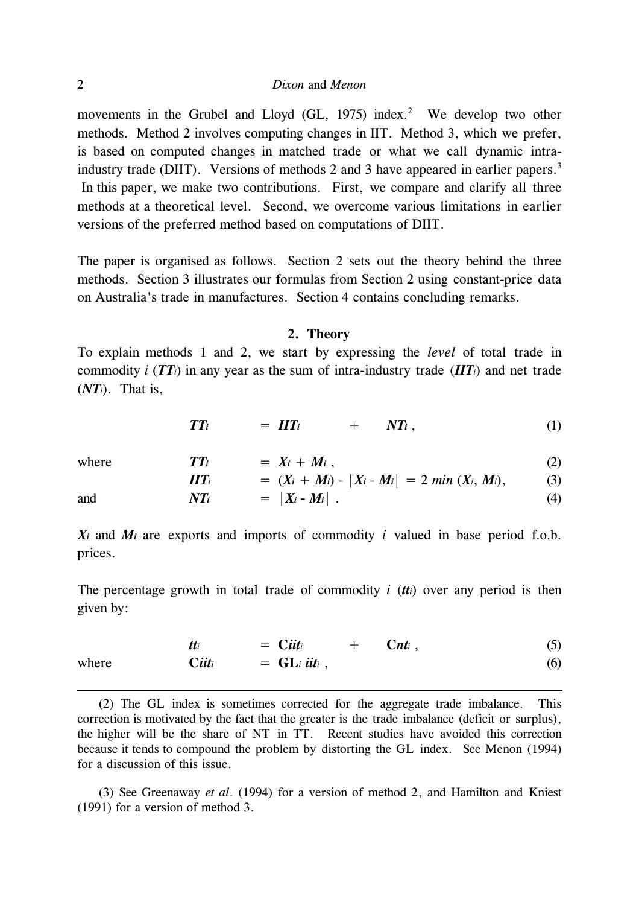movements in the Grubel and Lloyd (GL, 1975) index.<sup>2</sup> We develop two other methods. Method 2 involves computing changes in IIT. Method 3, which we prefer, is based on computed changes in matched trade or what we call dynamic intraindustry trade (DIIT). Versions of methods 2 and 3 have appeared in earlier papers.<sup>3</sup> In this paper, we make two contributions. First, we compare and clarify all three methods at a theoretical level. Second, we overcome various limitations in earlier versions of the preferred method based on computations of DIIT.

The paper is organised as follows. Section 2 sets out the theory behind the three methods. Section 3 illustrates our formulas from Section 2 using constant-price data on Australia's trade in manufactures. Section 4 contains concluding remarks.

### **2. Theory**

To explain methods 1 and 2, we start by expressing the *level* of total trade in commodity *i* ( $TT$ *i*) in any year as the sum of intra-industry trade ( $\boldsymbol{IIT}$ *i*) and net trade (*NTi*). That is,

$$
TT_i = HT_i + NT_i, \qquad (1)
$$

| where | $TT_i$            | $= X_i + M_i$ .                                   | (2) |
|-------|-------------------|---------------------------------------------------|-----|
|       | $\bm{H} \bm{T}_i$ | $= (X_i + M_i) -  X_i - M_i  = 2 min (X_i, M_i),$ | (3) |
| and   | $NT_i$            | $=  X_i - M_i $ .                                 | (4) |

 $X_i$  and  $M_i$  are exports and imports of commodity *i* valued in base period f.o.b. prices.

The percentage growth in total trade of commodity *i* (*tti*) over any period is then given by:

where 
$$
tti = Citti + Cnti,
$$
 (5)  
\nwhere 
$$
Citti = GLi itti,
$$
 (6)

 (2) The GL index is sometimes corrected for the aggregate trade imbalance. This correction is motivated by the fact that the greater is the trade imbalance (deficit or surplus), the higher will be the share of NT in TT. Recent studies have avoided this correction because it tends to compound the problem by distorting the GL index. See Menon (1994) for a discussion of this issue.

 (3) See Greenaway *et al*. (1994) for a version of method 2, and Hamilton and Kniest (1991) for a version of method 3.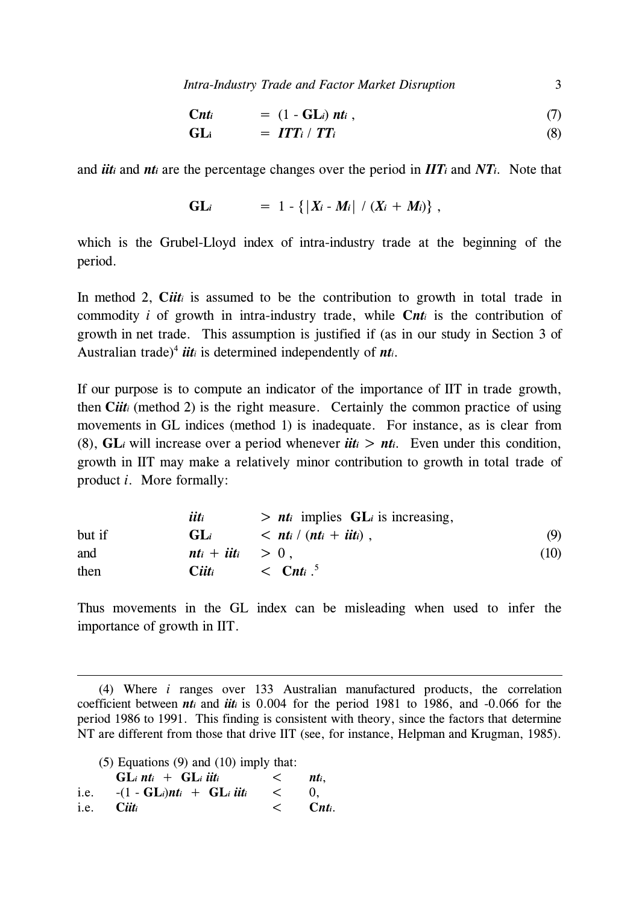*Intra-Industry Trade and Factor Market Disruption* 3

$$
Cnti = (1 - GLi) nti , \qquad (7)
$$

$$
GL_i = ITT_i / TT_i \qquad (8)
$$

and *iiti* and *nti* are the percentage changes over the period in *IITi* and *NTi*. Note that

GL<sub>i</sub> = 
$$
1 - \{ |X_i - M_i| / (X_i + M_i) \}
$$
,

which is the Grubel-Lloyd index of intra-industry trade at the beginning of the period.

In method 2, *Ciiti* is assumed to be the contribution to growth in total trade in commodity *i* of growth in intra-industry trade, while **C***nti* is the contribution of growth in net trade. This assumption is justified if (as in our study in Section 3 of Australian trade)<sup>4</sup> *iiti* is determined independently of *nti*.

If our purpose is to compute an indicator of the importance of IIT in trade growth, then **C***iiti* (method 2) is the right measure. Certainly the common practice of using movements in GL indices (method 1) is inadequate. For instance, as is clear from (8),  $GL_i$  will increase over a period whenever *iiti* > *nti*. Even under this condition, growth in IIT may make a relatively minor contribution to growth in total trade of product *i*. More formally:

|        | iiti                 | $> nt_i$ implies $GL_i$ is increasing,                             |      |
|--------|----------------------|--------------------------------------------------------------------|------|
| but if | $GL_i$               | $\langle$ nt <sub>i</sub> / (nt <sub>i</sub> + iit <sub>i</sub> ), | (9)  |
| and    | $nt_i + iit_i > 0$ , |                                                                    | (10) |
| then   | Ciiti                | $\langle$ Cnti $\cdot$                                             |      |

Thus movements in the GL index can be misleading when used to infer the importance of growth in IIT.

 (4) Where *i* ranges over 133 Australian manufactured products, the correlation coefficient between *nti* and *iiti* is 0.004 for the period 1981 to 1986, and -0.066 for the period 1986 to 1991. This finding is consistent with theory, since the factors that determine NT are different from those that drive IIT (see, for instance, Helpman and Krugman, 1985).

(5) Equations (9) and (10) imply that:

| $GL_i$ nti + $GL_i$ iiti                      | nti.        |
|-----------------------------------------------|-------------|
| i.e. $-(1 - GL_i)nt_i + GL_i$ iiti $\leq 0$ , |             |
| i.e. Ciiti                                    | $\lt$ Cnti. |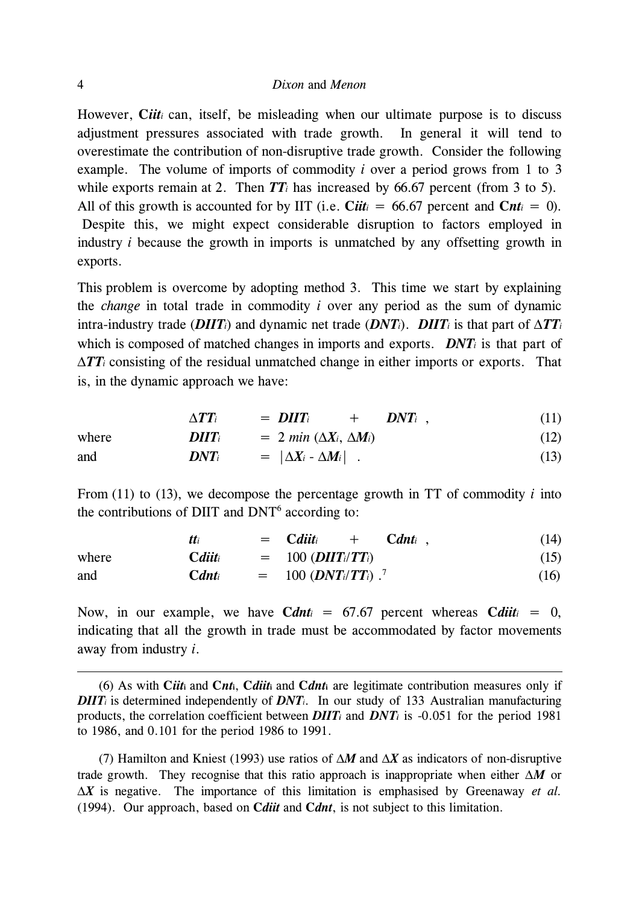However, *Ciiti* can, itself, be misleading when our ultimate purpose is to discuss adjustment pressures associated with trade growth. In general it will tend to overestimate the contribution of non-disruptive trade growth. Consider the following example. The volume of imports of commodity *i* over a period grows from 1 to 3 while exports remain at 2. Then  $TT_i$  has increased by 66.67 percent (from 3 to 5). All of this growth is accounted for by IIT (i.e. *Ciit*<sub>*i*</sub> = 66.67 percent and *Cnt<sub>i</sub>* = 0). Despite this, we might expect considerable disruption to factors employed in industry *i* because the growth in imports is unmatched by any offsetting growth in exports.

This problem is overcome by adopting method 3. This time we start by explaining the *change* in total trade in commodity *i* over any period as the sum of dynamic intra-industry trade (*DIIT*<sup>*i*</sup>) and dynamic net trade (*DNT*<sup>*i*</sup>). *DIIT*<sup>*i*</sup> is that part of  $\Delta TT$ <sup>*i*</sup> which is composed of matched changes in imports and exports. *DNTi* is that part of ∆*TTi* consisting of the residual unmatched change in either imports or exports. That is, in the dynamic approach we have:

$$
\Delta TT_i = D\Pi T_i + DNT_i , \qquad (11)
$$

where 
$$
D\Pi T_i = 2 \min (\Delta X_i, \Delta M_i)
$$
 (12)  
and 
$$
DNT_i = |\Delta X_i - \Delta M_i|
$$
 (13)

From (11) to (13), we decompose the percentage growth in TT of commodity *i* into the contributions of DIIT and  $DNT^6$  according to:

|       |              | $=$ Cditti<br>$C$ dnti<br>$+$                               | (14) |
|-------|--------------|-------------------------------------------------------------|------|
| where | $C$ diit $i$ | $= 100$ ( <i>DIIT<sub>i</sub></i> / <i>TT<sub>i</sub></i> ) | (15) |
| and   | $C$ dnti     | $= 100 (DNT_i/TT_i)^{-7}$                                   | (16) |

Now, in our example, we have  $C$ *dnt*<sub>*i*</sub> = 67.67 percent whereas  $C$ *diit<sub>i</sub>* = 0, indicating that all the growth in trade must be accommodated by factor movements away from industry *i*.

 (6) As with **C***iit***i** and **C***nt***i**, **C***diit***i** and **C***dnt***i** are legitimate contribution measures only if *DIIT<sub>i</sub>* is determined independently of *DNT<sub>i</sub>*. In our study of 133 Australian manufacturing products, the correlation coefficient between *DIITi* and *DNTi* is -0.051 for the period 1981 to 1986, and 0.101 for the period 1986 to 1991.

 (7) Hamilton and Kniest (1993) use ratios of ∆*M* and ∆*X* as indicators of non-disruptive trade growth. They recognise that this ratio approach is inappropriate when either ∆*M* or ∆*X* is negative. The importance of this limitation is emphasised by Greenaway *et al.* (1994). Our approach, based on **C***diit* and **C***dnt*, is not subject to this limitation.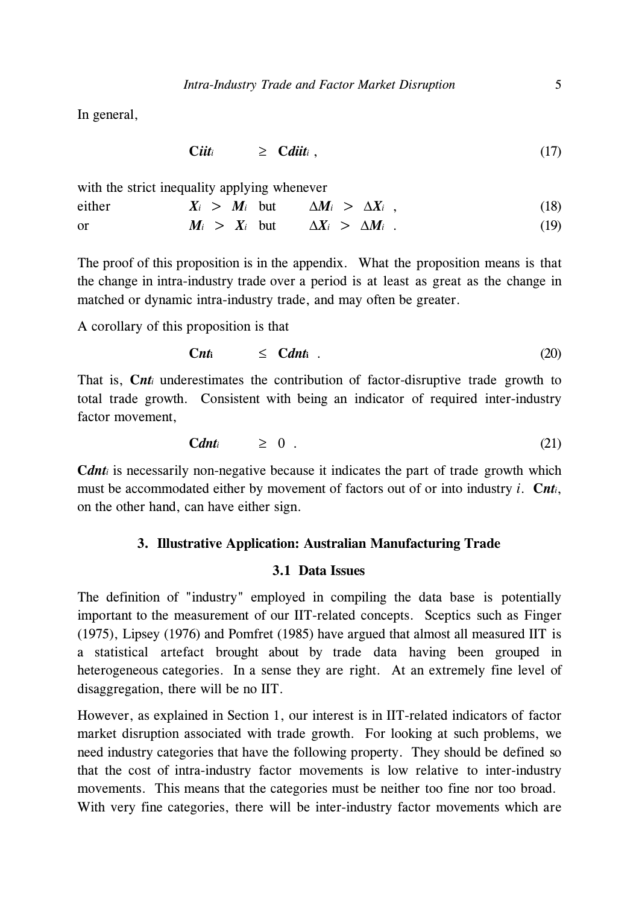In general,

$$
Cii t_i \qquad \geq \quad Cdi t_i \; , \tag{17}
$$

with the strict inequality applying whenever

either  $X_i > M_i$  but  $\Delta M_i > \Delta X_i$ , (18)

or 
$$
M_i > X_i
$$
 but  $\Delta X_i > \Delta M_i$ . (19)

The proof of this proposition is in the appendix. What the proposition means is that the change in intra-industry trade over a period is at least as great as the change in matched or dynamic intra-industry trade, and may often be greater.

A corollary of this proposition is that

$$
Cnt_i \leq Cdn t_i \tag{20}
$$

That is, *Cnti* underestimates the contribution of factor-disruptive trade growth to total trade growth. Consistent with being an indicator of required inter-industry factor movement,

$$
Cdn \geq 0 \t\t(21)
$$

**C***dnti* is necessarily non-negative because it indicates the part of trade growth which must be accommodated either by movement of factors out of or into industry *i*. **C***nti*, on the other hand, can have either sign.

### **3. Illustrative Application: Australian Manufacturing Trade**

### **3.1 Data Issues**

The definition of "industry" employed in compiling the data base is potentially important to the measurement of our IIT-related concepts. Sceptics such as Finger (1975), Lipsey (1976) and Pomfret (1985) have argued that almost all measured IIT is a statistical artefact brought about by trade data having been grouped in heterogeneous categories. In a sense they are right. At an extremely fine level of disaggregation, there will be no IIT.

However, as explained in Section 1, our interest is in IIT-related indicators of factor market disruption associated with trade growth. For looking at such problems, we need industry categories that have the following property. They should be defined so that the cost of intra-industry factor movements is low relative to inter-industry movements. This means that the categories must be neither too fine nor too broad. With very fine categories, there will be inter-industry factor movements which are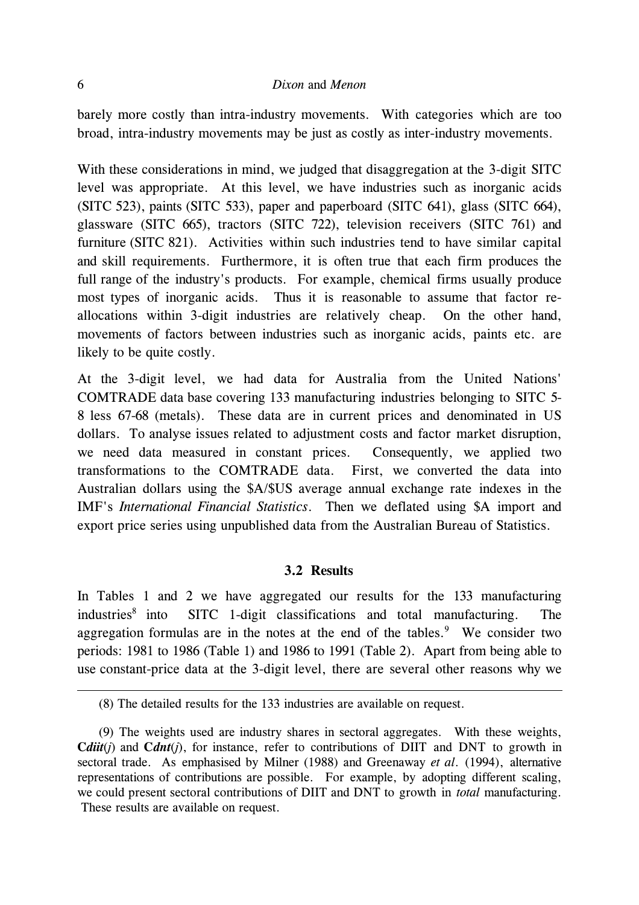### 6 *Dixon* and *Menon*

barely more costly than intra-industry movements. With categories which are too broad, intra-industry movements may be just as costly as inter-industry movements.

With these considerations in mind, we judged that disaggregation at the 3-digit SITC level was appropriate. At this level, we have industries such as inorganic acids (SITC 523), paints (SITC 533), paper and paperboard (SITC 641), glass (SITC 664), glassware (SITC 665), tractors (SITC 722), television receivers (SITC 761) and furniture (SITC 821). Activities within such industries tend to have similar capital and skill requirements. Furthermore, it is often true that each firm produces the full range of the industry's products. For example, chemical firms usually produce most types of inorganic acids. Thus it is reasonable to assume that factor reallocations within 3-digit industries are relatively cheap. On the other hand, movements of factors between industries such as inorganic acids, paints etc. are likely to be quite costly.

At the 3-digit level, we had data for Australia from the United Nations' COMTRADE data base covering 133 manufacturing industries belonging to SITC 5- 8 less 67-68 (metals). These data are in current prices and denominated in US dollars. To analyse issues related to adjustment costs and factor market disruption, we need data measured in constant prices. Consequently, we applied two transformations to the COMTRADE data. First, we converted the data into Australian dollars using the \$A/\$US average annual exchange rate indexes in the IMF's *International Financial Statistics*. Then we deflated using \$A import and export price series using unpublished data from the Australian Bureau of Statistics.

### **3.2 Results**

In Tables 1 and 2 we have aggregated our results for the 133 manufacturing  $industries<sup>8</sup>$  into SITC 1-digit classifications and total manufacturing. The aggregation formulas are in the notes at the end of the tables. $9$  We consider two periods: 1981 to 1986 (Table 1) and 1986 to 1991 (Table 2). Apart from being able to use constant-price data at the 3-digit level, there are several other reasons why we

 <sup>(8)</sup> The detailed results for the 133 industries are available on request.

 <sup>(9)</sup> The weights used are industry shares in sectoral aggregates. With these weights, **C***diit*(*j*) and **C***dnt*(*j*), for instance, refer to contributions of DIIT and DNT to growth in sectoral trade. As emphasised by Milner (1988) and Greenaway *et al*. (1994), alternative representations of contributions are possible. For example, by adopting different scaling, we could present sectoral contributions of DIIT and DNT to growth in *total* manufacturing. These results are available on request.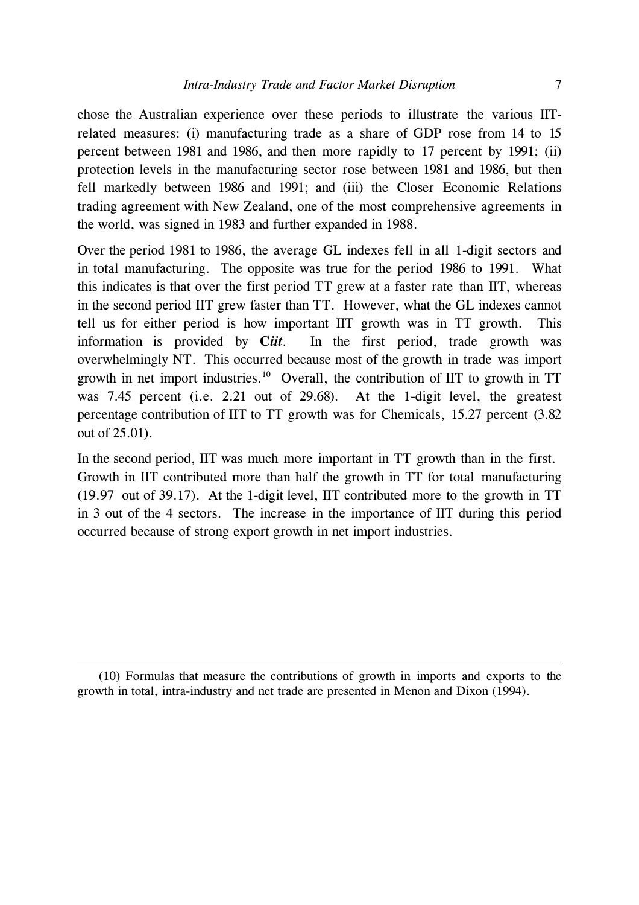chose the Australian experience over these periods to illustrate the various IITrelated measures: (i) manufacturing trade as a share of GDP rose from 14 to 15 percent between 1981 and 1986, and then more rapidly to 17 percent by 1991; (ii) protection levels in the manufacturing sector rose between 1981 and 1986, but then fell markedly between 1986 and 1991; and (iii) the Closer Economic Relations trading agreement with New Zealand, one of the most comprehensive agreements in the world, was signed in 1983 and further expanded in 1988.

Over the period 1981 to 1986, the average GL indexes fell in all 1-digit sectors and in total manufacturing. The opposite was true for the period 1986 to 1991. What this indicates is that over the first period TT grew at a faster rate than IIT, whereas in the second period IIT grew faster than TT. However, what the GL indexes cannot tell us for either period is how important IIT growth was in TT growth. This information is provided by **C***iit*. In the first period, trade growth was overwhelmingly NT. This occurred because most of the growth in trade was import growth in net import industries.10 Overall, the contribution of IIT to growth in TT was 7.45 percent (i.e. 2.21 out of 29.68). At the 1-digit level, the greatest percentage contribution of IIT to TT growth was for Chemicals, 15.27 percent (3.82 out of 25.01).

In the second period, IIT was much more important in TT growth than in the first. Growth in IIT contributed more than half the growth in TT for total manufacturing (19.97 out of 39.17). At the 1-digit level, IIT contributed more to the growth in TT in 3 out of the 4 sectors. The increase in the importance of IIT during this period occurred because of strong export growth in net import industries.

 <sup>(10)</sup> Formulas that measure the contributions of growth in imports and exports to the growth in total, intra-industry and net trade are presented in Menon and Dixon (1994).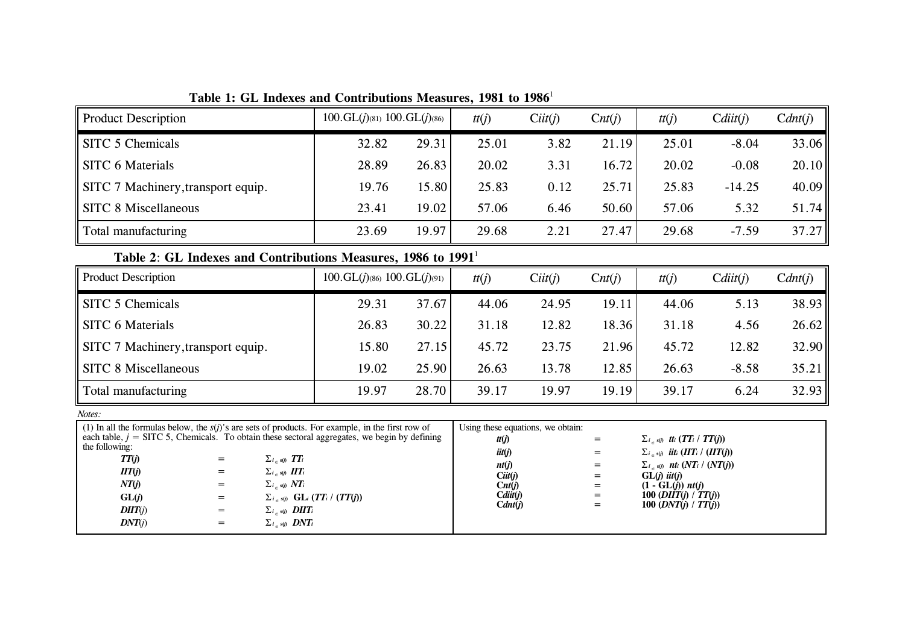| <b>Product Description</b>         | $100.GL(j)_{(81)} 100.GL(j)_{(86)}$ |       | tt(j) | Cit(f) | $\text{Cnt}(i)$ | tt(j) | Cdiit(i) | C <i>dnt(j)</i> |
|------------------------------------|-------------------------------------|-------|-------|--------|-----------------|-------|----------|-----------------|
| SITC 5 Chemicals                   | 32.82                               | 29.31 | 25.01 | 3.82   | 21.19           | 25.01 | $-8.04$  | 33.06           |
| SITC 6 Materials                   | 28.89                               | 26.83 | 20.02 | 3.31   | 16.72           | 20.02 | $-0.08$  | 20.10           |
| SITC 7 Machinery, transport equip. | 19.76                               | 15.80 | 25.83 | 0.12   | 25.71           | 25.83 | $-14.25$ | 40.09           |
| SITC 8 Miscellaneous               | 23.41                               | 19.02 | 57.06 | 6.46   | 50.60           | 57.06 | 5.32     | 51.74           |
| Total manufacturing                | 23.69                               | 19.97 | 29.68 | 2.21   | 27.47           | 29.68 | $-7.59$  | 37.27           |

**Table 1: GL Indexes and Contributions Measures, 1981 to 1986**<sup>1</sup>

# **Table 2**: **GL Indexes and Contributions Measures, 1986 to 1991**<sup>1</sup>

| <b>Product Description</b>         | $100.GL(j)_{(86)} 100.GL(j)_{(91)}$ |       | tt(j) | Cit(f) | $\text{Cnt}(i)$ | tt(j) | Cdiit(i) | C <i>dnt(j)</i> |
|------------------------------------|-------------------------------------|-------|-------|--------|-----------------|-------|----------|-----------------|
| SITC 5 Chemicals                   | 29.31                               | 37.67 | 44.06 | 24.95  | 19.11           | 44.06 | 5.13     | 38.93           |
| SITC 6 Materials                   | 26.83                               | 30.22 | 31.18 | 12.82  | 18.36           | 31.18 | 4.56     | 26.62           |
| SITC 7 Machinery, transport equip. | 15.80                               | 27.15 | 45.72 | 23.75  | 21.96           | 45.72 | 12.82    | 32.90           |
| <b>SITC 8 Miscellaneous</b>        | 19.02                               | 25.90 | 26.63 | 13.78  | 12.85           | 26.63 | $-8.58$  | 35.21           |
| Total manufacturing                | 19.97                               | 28.70 | 39.17 | 19.97  | 19.19           | 39.17 | 6.24     | 32.93           |

*Notes:*

|                |     | (1) In all the formulas below, the $s(t)$ 's are sets of products. For example, in the first row of | Using these equations, we obtain: |     |                                                     |
|----------------|-----|-----------------------------------------------------------------------------------------------------|-----------------------------------|-----|-----------------------------------------------------|
|                |     | each table, $j = SITC$ 5, Chemicals. To obtain these sectoral aggregates, we begin by defining      | t(t)                              | $=$ | $\sum_{i \in \mathcal{S}(i)}$ tti $(TT_i / TT(j))$  |
| the following: |     |                                                                                                     | $i$ it $(j)$                      | $=$ | $\sum_{i \in \mathcal{S}(i)}$ iiti (IITi / (IIT(j)) |
| TT(j)          | $=$ | $\sum_{i \in s(j)} TT_i$                                                                            | nt(j)                             | =   | $\sum_{i \in s(j)}$ nti (NTi / (NT(j))              |
| IT(j)          | $=$ | $\sum_{i \in s(j)} \prod T_i$                                                                       | Cit(f)                            | =   | $GL(i)$ iit(j)                                      |
| NT(j)          | $=$ | $\sum_{i \in s(j)} N T_i$                                                                           | $\text{Cnt}(i)$                   | =   | $(1 - GL(i))$ nt(j)                                 |
| GL(j)          | $=$ | $\sum_{i \in s(j)}$ GL <sub>i</sub> (TT <sub>i</sub> / (TT(j))                                      | Cdiit(i)                          | $=$ | 100 (DIIT(j) / $TT(j)$ )                            |
| DIT(j)         | $=$ | $\sum_{i \in s(j)}$ <b>DIIT</b> <sub>i</sub>                                                        | $C$ <i>dnt</i> ( <i>j</i> )       | =   | 100 $(DNT(i) / TT(i))$                              |
| DNT(i)         | $=$ | $\sum_{i \in s(i)}$ DNT <sub>i</sub>                                                                |                                   |     |                                                     |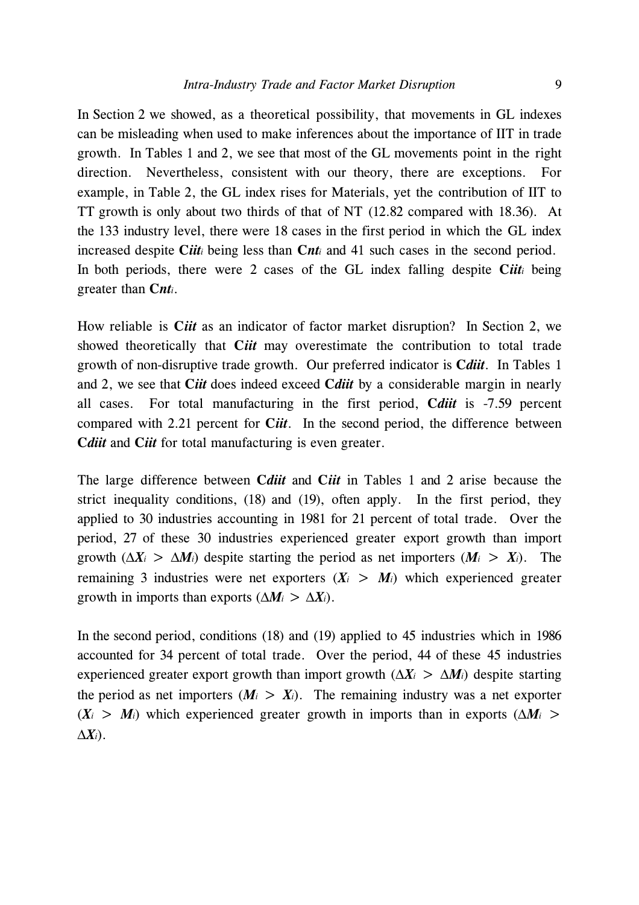In Section 2 we showed, as a theoretical possibility, that movements in GL indexes can be misleading when used to make inferences about the importance of IIT in trade growth. In Tables 1 and 2, we see that most of the GL movements point in the right direction. Nevertheless, consistent with our theory, there are exceptions. For example, in Table 2, the GL index rises for Materials, yet the contribution of IIT to TT growth is only about two thirds of that of NT (12.82 compared with 18.36). At the 133 industry level, there were 18 cases in the first period in which the GL index increased despite **C***iiti* being less than **C***nti* and 41 such cases in the second period. In both periods, there were 2 cases of the GL index falling despite **C***iiti* being greater than **C***nti*.

How reliable is **C***iit* as an indicator of factor market disruption? In Section 2, we showed theoretically that **C***iit* may overestimate the contribution to total trade growth of non-disruptive trade growth. Our preferred indicator is **C***diit*. In Tables 1 and 2, we see that **C***iit* does indeed exceed **C***diit* by a considerable margin in nearly all cases. For total manufacturing in the first period, **C***diit* is -7.59 percent compared with 2.21 percent for **C***iit*. In the second period, the difference between **C***diit* and C*iit* for total manufacturing is even greater.

The large difference between **C***diit* and **C***iit* in Tables 1 and 2 arise because the strict inequality conditions, (18) and (19), often apply. In the first period, they applied to 30 industries accounting in 1981 for 21 percent of total trade. Over the period, 27 of these 30 industries experienced greater export growth than import growth  $(\Delta X_i > \Delta M_i)$  despite starting the period as net importers  $(M_i > X_i)$ . The remaining 3 industries were net exporters  $(X_i > M_i)$  which experienced greater growth in imports than exports  $(\Delta M_i > \Delta X_i)$ .

In the second period, conditions (18) and (19) applied to 45 industries which in 1986 accounted for 34 percent of total trade. Over the period, 44 of these 45 industries experienced greater export growth than import growth ( $\Delta X_i$  >  $\Delta M_i$ ) despite starting the period as net importers  $(M_i > X_i)$ . The remaining industry was a net exporter  $(X_i > M_i)$  which experienced greater growth in imports than in exports  $(\Delta M_i > M_i)$ ∆*Xi*).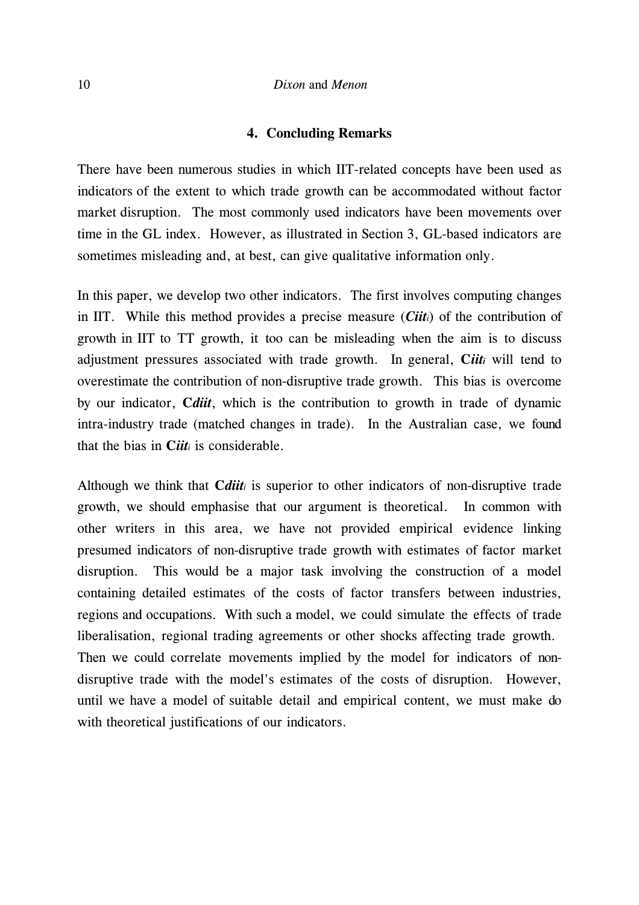### **4. Concluding Remarks**

There have been numerous studies in which IIT-related concepts have been used as indicators of the extent to which trade growth can be accommodated without factor market disruption. The most commonly used indicators have been movements over time in the GL index. However, as illustrated in Section 3, GL-based indicators are sometimes misleading and, at best, can give qualitative information only.

In this paper, we develop two other indicators. The first involves computing changes in IIT. While this method provides a precise measure (*Ciiti*) of the contribution of growth in IIT to TT growth, it too can be misleading when the aim is to discuss adjustment pressures associated with trade growth. In general, **C***iiti* will tend to overestimate the contribution of non-disruptive trade growth. This bias is overcome by our indicator, **C***diit*, which is the contribution to growth in trade of dynamic intra-industry trade (matched changes in trade). In the Australian case, we found that the bias in **C***iiti* is considerable.

Although we think that **C***diiti* is superior to other indicators of non-disruptive trade growth, we should emphasise that our argument is theoretical. In common with other writers in this area, we have not provided empirical evidence linking presumed indicators of non-disruptive trade growth with estimates of factor market disruption. This would be a major task involving the construction of a model containing detailed estimates of the costs of factor transfers between industries, regions and occupations. With such a model, we could simulate the effects of trade liberalisation, regional trading agreements or other shocks affecting trade growth. Then we could correlate movements implied by the model for indicators of nondisruptive trade with the model's estimates of the costs of disruption. However, until we have a model of suitable detail and empirical content, we must make do with theoretical justifications of our indicators.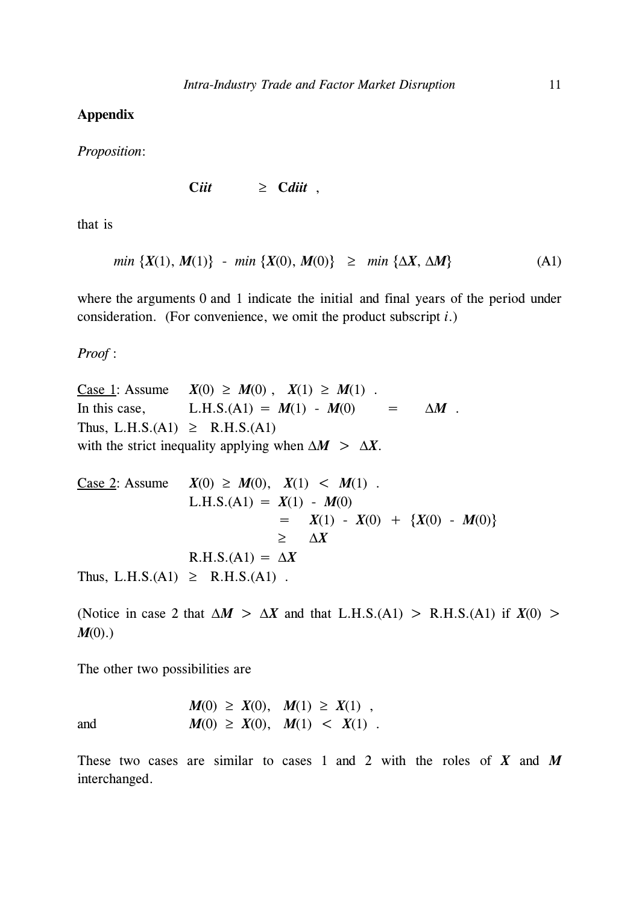### **Appendix**

*Proposition*:

$$
Cii t \qquad \geq \quad C\,ii t \ ,
$$

that is

*min*  $\{X(1), M(1)\}$  - *min*  $\{X(0), M(0)\}$  ≥ *min*  $\{\Delta X, \Delta M\}$  (A1)

where the arguments 0 and 1 indicate the initial and final years of the period under consideration. (For convenience, we omit the product subscript *i*.)

*Proof* :

<u>Case 1</u>: Assume *X*(0) ≥ *M*(0), *X*(1) ≥ *M*(1). In this case, L.H.S.(A1) =  $M(1) - M(0)$  =  $\Delta M$ . Thus, L.H.S.(A1)  $\geq$  R.H.S.(A1) with the strict inequality applying when  $\Delta M > \Delta X$ .

Case 2: Assume 
$$
X(0) \ge M(0)
$$
,  $X(1) < M(1)$ .  
\nL.H.S.(A1) =  $X(1) - M(0)$   
\n=  $X(1) - X(0) + {X(0) - M(0)}$   
\n≥  $\Delta X$   
\nR.H.S.(A1) =  $\Delta X$   
\nThus, L.H.S.(A1) ≥ R.H.S.(A1).

(Notice in case 2 that  $\Delta M > \Delta X$  and that L.H.S.(A1) > R.H.S.(A1) if  $X(0) >$ *M*(0).)

The other two possibilities are

and 
$$
M(0) \ge X(0), M(1) \ge X(1),
$$
  
and  $M(0) \ge X(0), M(1) < X(1).$ 

These two cases are similar to cases 1 and 2 with the roles of *X* and *M* interchanged.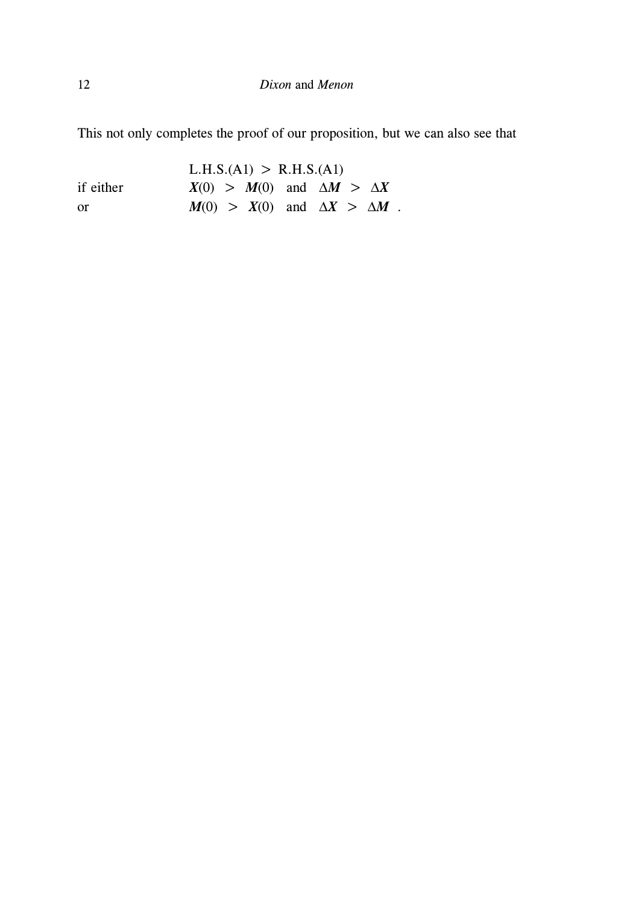This not only completes the proof of our proposition, but we can also see that

 $L.H.S.(A1) > R.H.S.(A1)$ if either  $X(0) > M(0)$  and  $\Delta M > \Delta X$ or *M*(0) > *X*(0) and  $\Delta X$  >  $\Delta M$  .